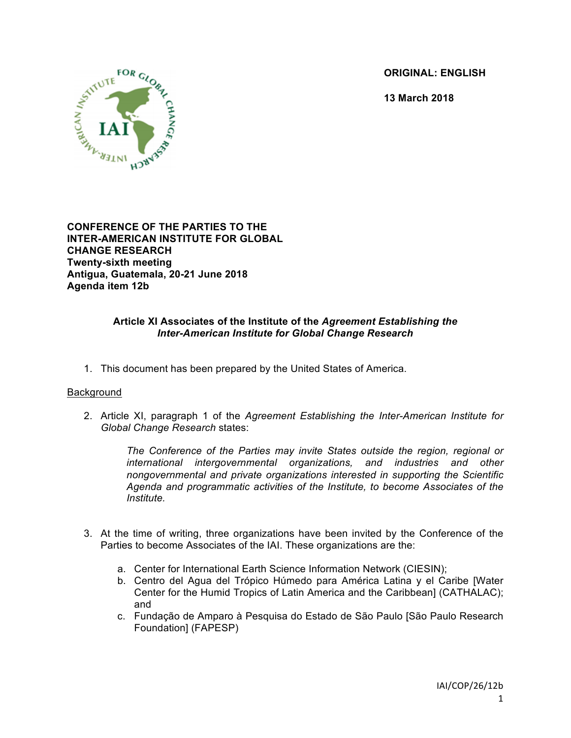**ORIGINAL: ENGLISH**

**13 March 2018**



**CONFERENCE OF THE PARTIES TO THE INTER-AMERICAN INSTITUTE FOR GLOBAL CHANGE RESEARCH Twenty-sixth meeting Antigua, Guatemala, 20-21 June 2018 Agenda item 12b**

# **Article XI Associates of the Institute of the** *Agreement Establishing the Inter-American Institute for Global Change Research*

1. This document has been prepared by the United States of America.

## Background

2. Article XI, paragraph 1 of the *Agreement Establishing the Inter-American Institute for Global Change Research* states:

*The Conference of the Parties may invite States outside the region, regional or international intergovernmental organizations, and industries and other nongovernmental and private organizations interested in supporting the Scientific Agenda and programmatic activities of the Institute, to become Associates of the Institute.*

- 3. At the time of writing, three organizations have been invited by the Conference of the Parties to become Associates of the IAI. These organizations are the:
	- a. Center for International Earth Science Information Network (CIESIN);
	- b. Centro del Agua del Trópico Húmedo para América Latina y el Caribe [Water Center for the Humid Tropics of Latin America and the Caribbean] (CATHALAC); and
	- c. Fundação de Amparo à Pesquisa do Estado de São Paulo [São Paulo Research Foundation] (FAPESP)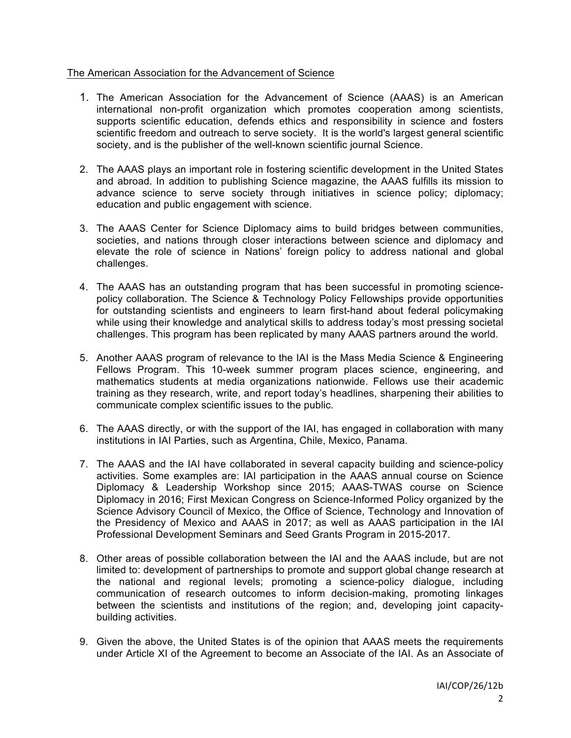## The American Association for the Advancement of Science

- 1. The American Association for the Advancement of Science (AAAS) is an American international non-profit organization which promotes cooperation among scientists, supports scientific education, defends ethics and responsibility in science and fosters scientific freedom and outreach to serve society. It is the world's largest general scientific society, and is the publisher of the well-known scientific journal Science.
- 2. The AAAS plays an important role in fostering scientific development in the United States and abroad. In addition to publishing Science magazine, the AAAS fulfills its mission to advance science to serve society through initiatives in science policy; diplomacy; education and public engagement with science.
- 3. The AAAS Center for Science Diplomacy aims to build bridges between communities, societies, and nations through closer interactions between science and diplomacy and elevate the role of science in Nations' foreign policy to address national and global challenges.
- 4. The AAAS has an outstanding program that has been successful in promoting sciencepolicy collaboration. The Science & Technology Policy Fellowships provide opportunities for outstanding scientists and engineers to learn first-hand about federal policymaking while using their knowledge and analytical skills to address today's most pressing societal challenges. This program has been replicated by many AAAS partners around the world.
- 5. Another AAAS program of relevance to the IAI is the Mass Media Science & Engineering Fellows Program. This 10-week summer program places science, engineering, and mathematics students at media organizations nationwide. Fellows use their academic training as they research, write, and report today's headlines, sharpening their abilities to communicate complex scientific issues to the public.
- 6. The AAAS directly, or with the support of the IAI, has engaged in collaboration with many institutions in IAI Parties, such as Argentina, Chile, Mexico, Panama.
- 7. The AAAS and the IAI have collaborated in several capacity building and science-policy activities. Some examples are: IAI participation in the AAAS annual course on Science Diplomacy & Leadership Workshop since 2015; AAAS-TWAS course on Science Diplomacy in 2016; First Mexican Congress on Science-Informed Policy organized by the Science Advisory Council of Mexico, the Office of Science, Technology and Innovation of the Presidency of Mexico and AAAS in 2017; as well as AAAS participation in the IAI Professional Development Seminars and Seed Grants Program in 2015-2017.
- 8. Other areas of possible collaboration between the IAI and the AAAS include, but are not limited to: development of partnerships to promote and support global change research at the national and regional levels; promoting a science-policy dialogue, including communication of research outcomes to inform decision-making, promoting linkages between the scientists and institutions of the region; and, developing joint capacitybuilding activities.
- 9. Given the above, the United States is of the opinion that AAAS meets the requirements under Article XI of the Agreement to become an Associate of the IAI. As an Associate of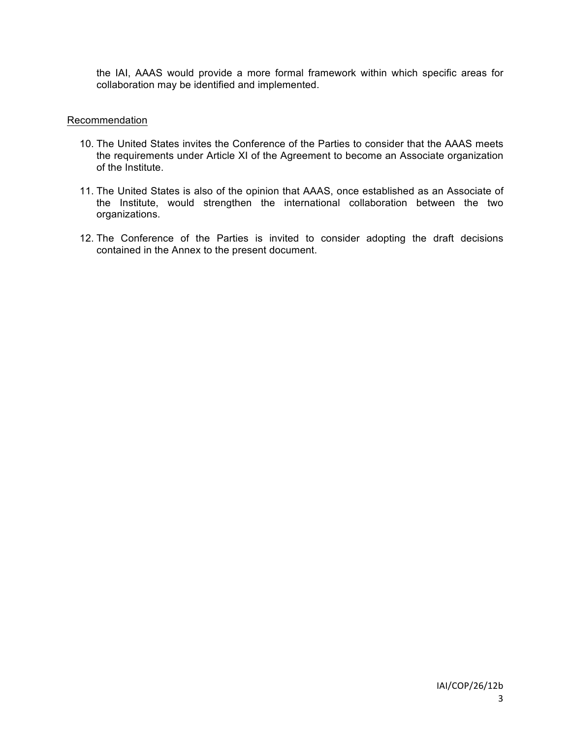the IAI, AAAS would provide a more formal framework within which specific areas for collaboration may be identified and implemented.

## Recommendation

- 10. The United States invites the Conference of the Parties to consider that the AAAS meets the requirements under Article XI of the Agreement to become an Associate organization of the Institute.
- 11. The United States is also of the opinion that AAAS, once established as an Associate of the Institute, would strengthen the international collaboration between the two organizations.
- 12. The Conference of the Parties is invited to consider adopting the draft decisions contained in the Annex to the present document.